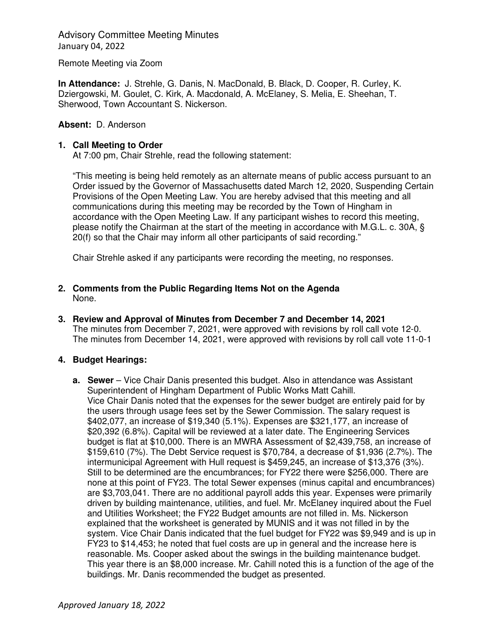Advisory Committee Meeting Minutes January 04, 2022

Remote Meeting via Zoom

**In Attendance:** J. Strehle, G. Danis, N. MacDonald, B. Black, D. Cooper, R. Curley, K. Dziergowski, M. Goulet, C. Kirk, A. Macdonald, A. McElaney, S. Melia, E. Sheehan, T. Sherwood, Town Accountant S. Nickerson.

# **Absent:** D. Anderson

### **1. Call Meeting to Order**

At 7:00 pm, Chair Strehle, read the following statement:

"This meeting is being held remotely as an alternate means of public access pursuant to an Order issued by the Governor of Massachusetts dated March 12, 2020, Suspending Certain Provisions of the Open Meeting Law. You are hereby advised that this meeting and all communications during this meeting may be recorded by the Town of Hingham in accordance with the Open Meeting Law. If any participant wishes to record this meeting, please notify the Chairman at the start of the meeting in accordance with M.G.L. c. 30A, § 20(f) so that the Chair may inform all other participants of said recording."

Chair Strehle asked if any participants were recording the meeting, no responses.

- **2. Comments from the Public Regarding Items Not on the Agenda**  None.
- **3. Review and Approval of Minutes from December 7 and December 14, 2021**  The minutes from December 7, 2021, were approved with revisions by roll call vote 12-0. The minutes from December 14, 2021, were approved with revisions by roll call vote 11-0-1

# **4. Budget Hearings:**

**a. Sewer** – Vice Chair Danis presented this budget. Also in attendance was Assistant Superintendent of Hingham Department of Public Works Matt Cahill. Vice Chair Danis noted that the expenses for the sewer budget are entirely paid for by the users through usage fees set by the Sewer Commission. The salary request is \$402,077, an increase of \$19,340 (5.1%). Expenses are \$321,177, an increase of \$20,392 (6.8%). Capital will be reviewed at a later date. The Engineering Services budget is flat at \$10,000. There is an MWRA Assessment of \$2,439,758, an increase of \$159,610 (7%). The Debt Service request is \$70,784, a decrease of \$1,936 (2.7%). The intermunicipal Agreement with Hull request is \$459,245, an increase of \$13,376 (3%). Still to be determined are the encumbrances; for FY22 there were \$256,000. There are none at this point of FY23. The total Sewer expenses (minus capital and encumbrances) are \$3,703,041. There are no additional payroll adds this year. Expenses were primarily driven by building maintenance, utilities, and fuel. Mr. McElaney inquired about the Fuel and Utilities Worksheet; the FY22 Budget amounts are not filled in. Ms. Nickerson explained that the worksheet is generated by MUNIS and it was not filled in by the system. Vice Chair Danis indicated that the fuel budget for FY22 was \$9,949 and is up in FY23 to \$14,453; he noted that fuel costs are up in general and the increase here is reasonable. Ms. Cooper asked about the swings in the building maintenance budget. This year there is an \$8,000 increase. Mr. Cahill noted this is a function of the age of the buildings. Mr. Danis recommended the budget as presented.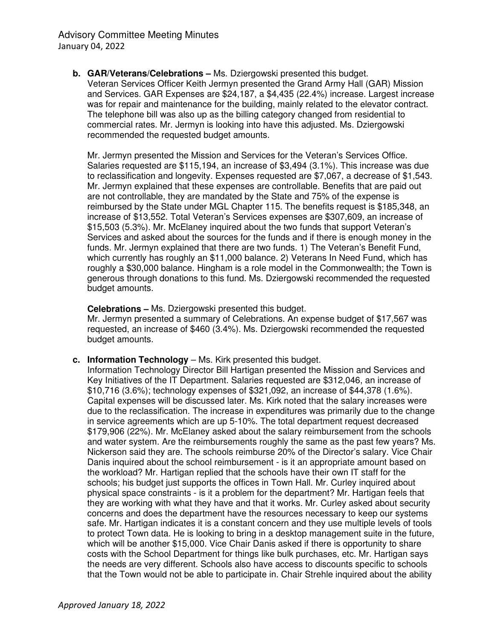**b. GAR/Veterans/Celebrations –** Ms. Dziergowski presented this budget. Veteran Services Officer Keith Jermyn presented the Grand Army Hall (GAR) Mission and Services. GAR Expenses are \$24,187, a \$4,435 (22.4%) increase. Largest increase was for repair and maintenance for the building, mainly related to the elevator contract. The telephone bill was also up as the billing category changed from residential to commercial rates. Mr. Jermyn is looking into have this adjusted. Ms. Dziergowski recommended the requested budget amounts.

Mr. Jermyn presented the Mission and Services for the Veteran's Services Office. Salaries requested are \$115,194, an increase of \$3,494 (3.1%). This increase was due to reclassification and longevity. Expenses requested are \$7,067, a decrease of \$1,543. Mr. Jermyn explained that these expenses are controllable. Benefits that are paid out are not controllable, they are mandated by the State and 75% of the expense is reimbursed by the State under MGL Chapter 115. The benefits request is \$185,348, an increase of \$13,552. Total Veteran's Services expenses are \$307,609, an increase of \$15,503 (5.3%). Mr. McElaney inquired about the two funds that support Veteran's Services and asked about the sources for the funds and if there is enough money in the funds. Mr. Jermyn explained that there are two funds. 1) The Veteran's Benefit Fund, which currently has roughly an \$11,000 balance. 2) Veterans In Need Fund, which has roughly a \$30,000 balance. Hingham is a role model in the Commonwealth; the Town is generous through donations to this fund. Ms. Dziergowski recommended the requested budget amounts.

**Celebrations –** Ms. Dziergowski presented this budget.

Mr. Jermyn presented a summary of Celebrations. An expense budget of \$17,567 was requested, an increase of \$460 (3.4%). Ms. Dziergowski recommended the requested budget amounts.

**c.** Information Technology – Ms. Kirk presented this budget.

Information Technology Director Bill Hartigan presented the Mission and Services and Key Initiatives of the IT Department. Salaries requested are \$312,046, an increase of \$10,716 (3.6%); technology expenses of \$321,092, an increase of \$44,378 (1.6%). Capital expenses will be discussed later. Ms. Kirk noted that the salary increases were due to the reclassification. The increase in expenditures was primarily due to the change in service agreements which are up 5-10%. The total department request decreased \$179,906 (22%). Mr. McElaney asked about the salary reimbursement from the schools and water system. Are the reimbursements roughly the same as the past few years? Ms. Nickerson said they are. The schools reimburse 20% of the Director's salary. Vice Chair Danis inquired about the school reimbursement - is it an appropriate amount based on the workload? Mr. Hartigan replied that the schools have their own IT staff for the schools; his budget just supports the offices in Town Hall. Mr. Curley inquired about physical space constraints - is it a problem for the department? Mr. Hartigan feels that they are working with what they have and that it works. Mr. Curley asked about security concerns and does the department have the resources necessary to keep our systems safe. Mr. Hartigan indicates it is a constant concern and they use multiple levels of tools to protect Town data. He is looking to bring in a desktop management suite in the future, which will be another \$15,000. Vice Chair Danis asked if there is opportunity to share costs with the School Department for things like bulk purchases, etc. Mr. Hartigan says the needs are very different. Schools also have access to discounts specific to schools that the Town would not be able to participate in. Chair Strehle inquired about the ability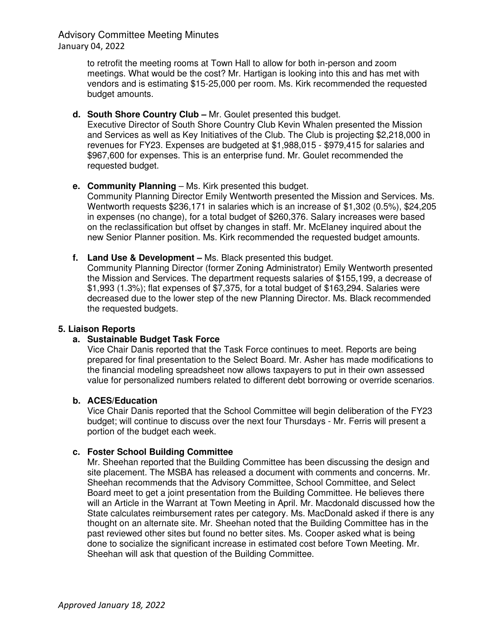Advisory Committee Meeting Minutes January 04, 2022

> to retrofit the meeting rooms at Town Hall to allow for both in-person and zoom meetings. What would be the cost? Mr. Hartigan is looking into this and has met with vendors and is estimating \$15-25,000 per room. Ms. Kirk recommended the requested budget amounts.

**d. South Shore Country Club –** Mr. Goulet presented this budget.

Executive Director of South Shore Country Club Kevin Whalen presented the Mission and Services as well as Key Initiatives of the Club. The Club is projecting \$2,218,000 in revenues for FY23. Expenses are budgeted at \$1,988,015 - \$979,415 for salaries and \$967,600 for expenses. This is an enterprise fund. Mr. Goulet recommended the requested budget.

**e.** Community Planning – Ms. Kirk presented this budget.

Community Planning Director Emily Wentworth presented the Mission and Services. Ms. Wentworth requests \$236,171 in salaries which is an increase of \$1,302 (0.5%), \$24,205 in expenses (no change), for a total budget of \$260,376. Salary increases were based on the reclassification but offset by changes in staff. Mr. McElaney inquired about the new Senior Planner position. Ms. Kirk recommended the requested budget amounts.

**f. Land Use & Development –** Ms. Black presented this budget.

Community Planning Director (former Zoning Administrator) Emily Wentworth presented the Mission and Services. The department requests salaries of \$155,199, a decrease of \$1,993 (1.3%); flat expenses of \$7,375, for a total budget of \$163,294. Salaries were decreased due to the lower step of the new Planning Director. Ms. Black recommended the requested budgets.

# **5. Liaison Reports**

# **a. Sustainable Budget Task Force**

Vice Chair Danis reported that the Task Force continues to meet. Reports are being prepared for final presentation to the Select Board. Mr. Asher has made modifications to the financial modeling spreadsheet now allows taxpayers to put in their own assessed value for personalized numbers related to different debt borrowing or override scenarios.

# **b. ACES/Education**

Vice Chair Danis reported that the School Committee will begin deliberation of the FY23 budget; will continue to discuss over the next four Thursdays - Mr. Ferris will present a portion of the budget each week.

# **c. Foster School Building Committee**

Mr. Sheehan reported that the Building Committee has been discussing the design and site placement. The MSBA has released a document with comments and concerns. Mr. Sheehan recommends that the Advisory Committee, School Committee, and Select Board meet to get a joint presentation from the Building Committee. He believes there will an Article in the Warrant at Town Meeting in April. Mr. Macdonald discussed how the State calculates reimbursement rates per category. Ms. MacDonald asked if there is any thought on an alternate site. Mr. Sheehan noted that the Building Committee has in the past reviewed other sites but found no better sites. Ms. Cooper asked what is being done to socialize the significant increase in estimated cost before Town Meeting. Mr. Sheehan will ask that question of the Building Committee.